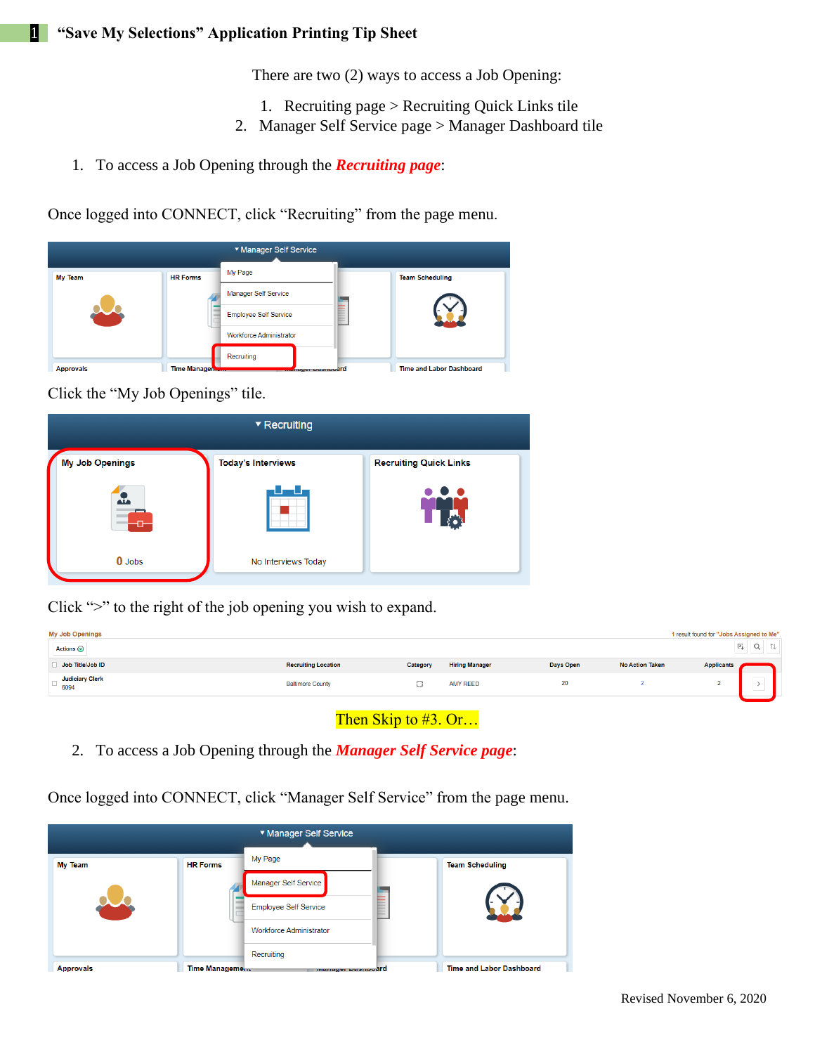There are two (2) ways to access a Job Opening:

- 1. Recruiting page > Recruiting Quick Links tile
- 2. Manager Self Service page > Manager Dashboard tile
- 1. To access a Job Opening through the *Recruiting page*:

Once logged into CONNECT, click "Recruiting" from the page menu.



Click the "My Job Openings" tile.



Click ">" to the right of the job opening you wish to expand.

| <b>My Job Openings</b><br>Actions $\odot$ |                            |          |                       |           | 1 result found for "Jobs Assigned to Me".<br>$\overline{X}_{\underline{a}}$<br>$Q \mid$ |                       |  |
|-------------------------------------------|----------------------------|----------|-----------------------|-----------|-----------------------------------------------------------------------------------------|-----------------------|--|
| Job Title/Job ID                          | <b>Recruiting Location</b> | Category | <b>Hiring Manager</b> | Days Open | <b>No Action Taken</b>                                                                  | <b>Applicants</b>     |  |
| <b>Judiciary Clerk</b><br>6094            | <b>Baltimore County</b>    |          | <b>AMY REED</b>       | 20        |                                                                                         | $\sim$<br>-<br>$\sim$ |  |
|                                           |                            |          |                       |           |                                                                                         |                       |  |

Then Skip to #3. Or...

2. To access a Job Opening through the *Manager Self Service page*:

Once logged into CONNECT, click "Manager Self Service" from the page menu.

|                  |                 | ▼ Manager Self Service         |                          |
|------------------|-----------------|--------------------------------|--------------------------|
| <b>My Team</b>   | <b>HR Forms</b> | My Page                        | <b>Team Scheduling</b>   |
|                  |                 | Manager Self Service           |                          |
|                  |                 | <b>Employee Self Service</b>   |                          |
|                  |                 | <b>Workforce Administrator</b> |                          |
|                  |                 | Recruiting                     |                          |
| <b>Approvals</b> | Time Management | manager Dasnpodrd              | Time and Labor Dashboard |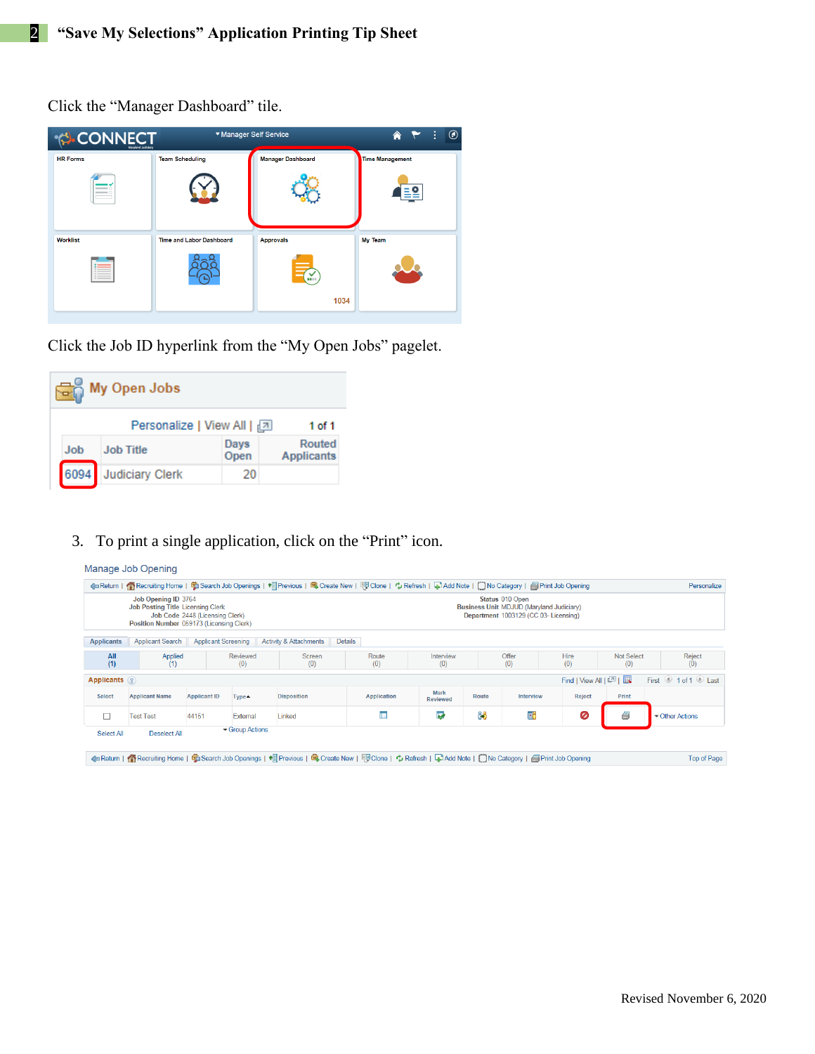Click the "Manager Dashboard" tile.

| <b>CONNECT</b><br>Maryland Judiciary | ▼ Manager Self Service          |                          | $^{\circledR}$<br>÷<br>€ |
|--------------------------------------|---------------------------------|--------------------------|--------------------------|
| <b>HR Forms</b>                      | <b>Team Scheduling</b>          | <b>Manager Dashboard</b> | <b>Time Management</b>   |
|                                      |                                 |                          |                          |
| <b>Worklist</b>                      | <b>Time and Labor Dashboard</b> | <b>Approvals</b>         | My Team                  |
|                                      |                                 |                          |                          |
|                                      |                                 | 1034                     |                          |
|                                      |                                 |                          |                          |

Click the Job ID hyperlink from the "My Open Jobs" pagelet.

|      | My Open Jobs               |              |                             |
|------|----------------------------|--------------|-----------------------------|
|      | Personalize   View All   2 |              | 1 of 1                      |
| Job  | <b>Job Title</b>           | Days<br>Open | Routed<br><b>Applicants</b> |
| 6094 | <b>Judiciary Clerk</b>     | 20           |                             |

3. To print a single application, click on the "Print" icon.

## Manage Job Opening ←Return | ●Recruiting Home | ●Search Job Openings | ● Previous | ●Create New | <sup>ng</sup> Clone | → Refresh | → Add Note | ●No Category | ●Print Job Opening Personalize Job Opening ID 3764<br>Job Posting Title Licensing Clerk<br>Job Code 2448 (Licensing Clerk)<br>Position Number 059173 (Licensing Clerk) Status 010 Open<br>Business Unit MDJUD (Maryland Judiciary)<br>Department 1003129 (CC 03- Licensing) Applicants | Applicant Search | Applicant Screening | Activity & Attachments | Details Reviewed<br>(0)  $\begin{array}{c} \n \text{All} \\ \n \text{(1)} \n \end{array}$ Applied<br>(1) Screen<br>(0)  $\frac{Rule}{(0)}$ Intervi<br>(0) Offer<br>(0)  $Hire$ <br>(0) Not Select<br>(0) Reject<br>(0) Applicants 2 Find | View All | 2 | | | First <sup>1</sup> 1 of 1 <sup>1</sup> Last Mark<br>eviewed Reject Select **Applicant Name Applicant ID Disposition** Application Route Interview Print Type▲ I. Į. ĜÔ Ŧб 0 Ø  $\Box$ **Test Test** 44151 External Linked Other Actions Group Actions Select All Deselect All 4 Return | neturn | neturiting Home | 句 Search Job Openings | 1 net previous | C Create New | @ Clone | \* Refresh | C Add Note | ONo Category | @ Print Job Opening Top of Page